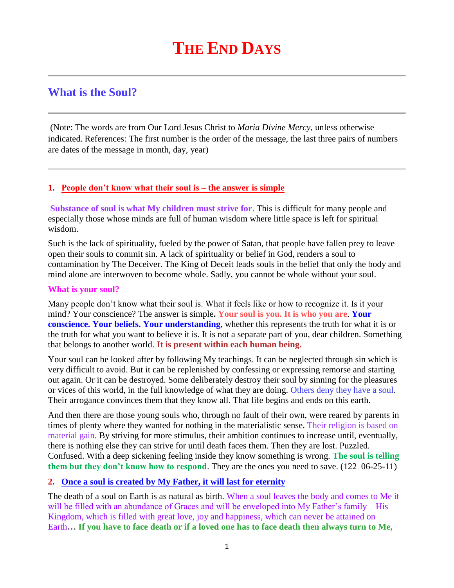# **What is the Soul?**

(Note: The words are from Our Lord Jesus Christ to *Maria Divine Mercy*, unless otherwise indicated. References: The first number is the order of the message, the last three pairs of numbers are dates of the message in month, day, year)

#### **1. [People don't know what their soul is –](http://www.thewarningsecondcoming.com/people-dont-know-what-their-soul-is-the-answer-is-simple/) the answer is simple**

**Substance of soul is what My children must strive for**. This is difficult for many people and especially those whose minds are full of human wisdom where little space is left for spiritual wisdom.

Such is the lack of spirituality, fueled by the power of Satan, that people have fallen prey to leave open their souls to commit sin. A lack of spirituality or belief in God, renders a soul to contamination by The Deceiver. The King of Deceit leads souls in the belief that only the body and mind alone are interwoven to become whole. Sadly, you cannot be whole without your soul.

### **What is your soul?**

Many people don't know what their soul is. What it feels like or how to recognize it. Is it your mind? Your conscience? The answer is simple**. Your soul is you. It is who you are**. **Your conscience. Your beliefs. Your understanding**, whether this represents the truth for what it is or the truth for what you want to believe it is. It is not a separate part of you, dear children. Something that belongs to another world. **It is present within each human being.**

Your soul can be looked after by following My teachings. It can be neglected through sin which is very difficult to avoid. But it can be replenished by confessing or expressing remorse and starting out again. Or it can be destroyed. Some deliberately destroy their soul by sinning for the pleasures or vices of this world, in the full knowledge of what they are doing. Others deny they have a soul. Their arrogance convinces them that they know all. That life begins and ends on this earth.

And then there are those young souls who, through no fault of their own, were reared by parents in times of plenty where they wanted for nothing in the materialistic sense. Their religion is based on material gain. By striving for more stimulus, their ambition continues to increase until, eventually, there is nothing else they can strive for until death faces them. Then they are lost. Puzzled. Confused. With a deep sickening feeling inside they know something is wrong. **The soul is telling them but they don't know how to respond**. They are the ones you need to save. (122 06-25-11)

# **2. [Once a soul is created by My Father, it will last for eternity](http://www.thewarningsecondcoming.com/once-a-soul-is-created-by-my-father-it-will-last-for-eternity/)**

The death of a soul on Earth is as natural as birth. When a soul leaves the body and comes to Me it will be filled with an abundance of Graces and will be enveloped into My Father's family – His Kingdom, which is filled with great love, joy and happiness, which can never be attained on Earth**… If you have to face death or if a loved one has to face death then always turn to Me,**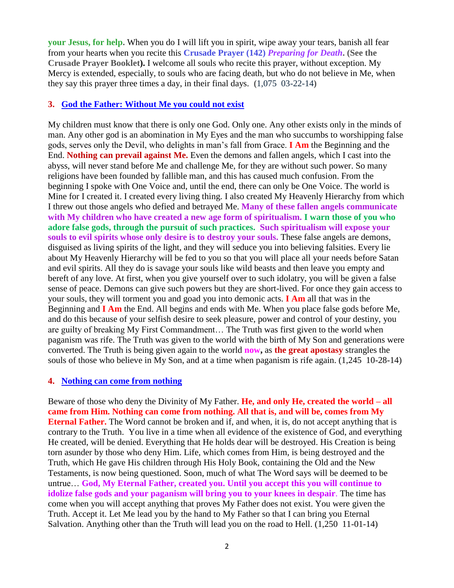**your Jesus, for help.** When you do I will lift you in spirit, wipe away your tears, banish all fear from your hearts when you recite this **Crusade Prayer (142)** *Preparing for Death***. (See the Crusade Prayer Booklet).** I welcome all souls who recite this prayer, without exception. My Mercy is extended, especially, to souls who are facing death, but who do not believe in Me, when they say this prayer three times a day, in their final days. **(**1,075 03-22-14**)**

#### **3. [God the Father: Without Me you could not exist](http://www.thewarningsecondcoming.com/god-the-father-without-me-you-could-not-exist/)**

My children must know that there is only one God. Only one. Any other exists only in the minds of man. Any other god is an abomination in My Eyes and the man who succumbs to worshipping false gods, serves only the Devil, who delights in man's fall from Grace. **I Am** the Beginning and the End. **Nothing can prevail against Me.** Even the demons and fallen angels, which I cast into the abyss, will never stand before Me and challenge Me, for they are without such power. So many religions have been founded by fallible man, and this has caused much confusion. From the beginning I spoke with One Voice and, until the end, there can only be One Voice. The world is Mine for I created it. I created every living thing. I also created My Heavenly Hierarchy from which I threw out those angels who defied and betrayed Me. **Many of these fallen angels communicate with My children who have created a new age form of spiritualism. I warn those of you who adore false gods, through the pursuit of such practices. Such spiritualism will expose your souls to evil spirits whose only desire is to destroy your souls.** These false angels are demons, disguised as living spirits of the light, and they will seduce you into believing falsities. Every lie about My Heavenly Hierarchy will be fed to you so that you will place all your needs before Satan and evil spirits. All they do is savage your souls like wild beasts and then leave you empty and bereft of any love. At first, when you give yourself over to such idolatry, you will be given a false sense of peace. Demons can give such powers but they are short-lived. For once they gain access to your souls, they will torment you and goad you into demonic acts. **I Am** all that was in the Beginning and **I Am** the End. All begins and ends with Me. When you place false gods before Me, and do this because of your selfish desire to seek pleasure, power and control of your destiny, you are guilty of breaking My First Commandment… The Truth was first given to the world when paganism was rife. The Truth was given to the world with the birth of My Son and generations were converted. The Truth is being given again to the world **now,** as **the great apostasy** strangles the souls of those who believe in My Son, and at a time when paganism is rife again. (1,245 10-28-14)

#### **4. [Nothing can come from nothing](http://www.thewarningsecondcoming.com/nothing-can-come-from-nothing/)**

Beware of those who deny the Divinity of My Father. **He, and only He, created the world – all came from Him. Nothing can come from nothing. All that is, and will be, comes from My Eternal Father.** The Word cannot be broken and if, and when, it is, do not accept anything that is contrary to the Truth. You live in a time when all evidence of the existence of God, and everything He created, will be denied. Everything that He holds dear will be destroyed. His Creation is being torn asunder by those who deny Him. Life, which comes from Him, is being destroyed and the Truth, which He gave His children through His Holy Book, containing the Old and the New Testaments, is now being questioned. Soon, much of what The Word says will be deemed to be untrue… **God, My Eternal Father, created you. Until you accept this you will continue to idolize false gods and your paganism will bring you to your knees in despair**. The time has come when you will accept anything that proves My Father does not exist. You were given the Truth. Accept it. Let Me lead you by the hand to My Father so that I can bring you Eternal Salvation. Anything other than the Truth will lead you on the road to Hell. (1,250 11-01-14)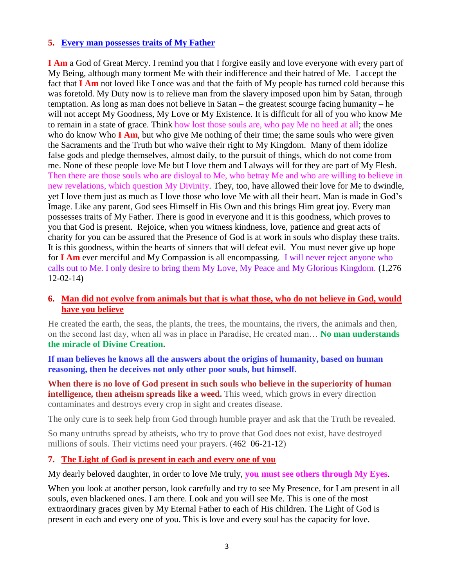## **5. [Every man possesses traits of My Father](http://www.thewarningsecondcoming.com/every-man-possesses-traits-of-my-father/)**

**I Am** a God of Great Mercy. I remind you that I forgive easily and love everyone with every part of My Being, although many torment Me with their indifference and their hatred of Me. I accept the fact that **I Am** not loved like I once was and that the faith of My people has turned cold because this was foretold. My Duty now is to relieve man from the slavery imposed upon him by Satan, through temptation. As long as man does not believe in Satan – the greatest scourge facing humanity – he will not accept My Goodness, My Love or My Existence. It is difficult for all of you who know Me to remain in a state of grace. Think how lost those souls are, who pay Me no heed at all; the ones who do know Who **I Am**, but who give Me nothing of their time; the same souls who were given the Sacraments and the Truth but who waive their right to My Kingdom. Many of them idolize false gods and pledge themselves, almost daily, to the pursuit of things, which do not come from me. None of these people love Me but I love them and I always will for they are part of My Flesh. Then there are those souls who are disloyal to Me, who betray Me and who are willing to believe in new revelations, which question My Divinity. They, too, have allowed their love for Me to dwindle, yet I love them just as much as I love those who love Me with all their heart. Man is made in God's Image. Like any parent, God sees Himself in His Own and this brings Him great joy. Every man possesses traits of My Father. There is good in everyone and it is this goodness, which proves to you that God is present. Rejoice, when you witness kindness, love, patience and great acts of charity for you can be assured that the Presence of God is at work in souls who display these traits. It is this goodness, within the hearts of sinners that will defeat evil. You must never give up hope for **I Am** ever merciful and My Compassion is all encompassing. I will never reject anyone who calls out to Me. I only desire to bring them My Love, My Peace and My Glorious Kingdom. (1,276 12-02-14)

## **6. [Man did not evolve from animals but that is what those, who do not believe in God, would](http://www.thewarningsecondcoming.com/man-did-not-evolve-from-animals-but-that-is-what-those-who-do-not-believe-in-god-would-have-you-believe/)  [have you believe](http://www.thewarningsecondcoming.com/man-did-not-evolve-from-animals-but-that-is-what-those-who-do-not-believe-in-god-would-have-you-believe/)**

He created the earth, the seas, the plants, the trees, the mountains, the rivers, the animals and then, on the second last day, when all was in place in Paradise, He created man… **No man understands the miracle of Divine Creation.**

**If man believes he knows all the answers about the origins of humanity, based on human reasoning, then he deceives not only other poor souls, but himself.**

**When there is no love of God present in such souls who believe in the superiority of human intelligence, then atheism spreads like a weed.** This weed, which grows in every direction contaminates and destroys every crop in sight and creates disease.

The only cure is to seek help from God through humble prayer and ask that the Truth be revealed.

So many untruths spread by atheists, who try to prove that God does not exist, have destroyed millions of souls. Their victims need your prayers. (462 06-21-12)

# **7. [The Light of God is present in each and every one of you](http://www.thewarningsecondcoming.com/the-light-of-god-is-present-in-each-and-every-one-of-you/)**

My dearly beloved daughter, in order to love Me truly, **you must see others through My Eyes**.

When you look at another person, look carefully and try to see My Presence, for I am present in all souls, even blackened ones. I am there. Look and you will see Me. This is one of the most extraordinary graces given by My Eternal Father to each of His children. The Light of God is present in each and every one of you. This is love and every soul has the capacity for love.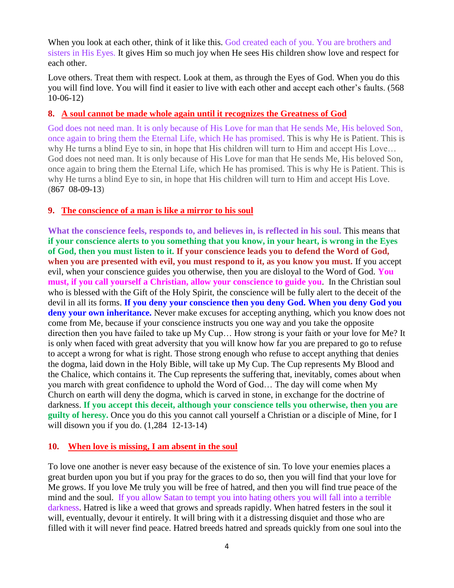When you look at each other, think of it like this. God created each of you. You are brothers and sisters in His Eyes. It gives Him so much joy when He sees His children show love and respect for each other.

Love others. Treat them with respect. Look at them, as through the Eyes of God. When you do this you will find love. You will find it easier to live with each other and accept each other's faults. (568 10-06-12)

### **8. [A soul cannot be made whole again until it recognizes the Greatness of God](http://www.thewarningsecondcoming.com/a-soul-cannot-be-made-whole-again-until-it-recognises-the-greatness-of-god/)**

God does not need man. It is only because of His Love for man that He sends Me, His beloved Son, once again to bring them the Eternal Life, which He has promised. This is why He is Patient. This is why He turns a blind Eye to sin, in hope that His children will turn to Him and accept His Love… God does not need man. It is only because of His Love for man that He sends Me, His beloved Son, once again to bring them the Eternal Life, which He has promised. This is why He is Patient. This is why He turns a blind Eye to sin, in hope that His children will turn to Him and accept His Love. (867 08-09-13)

## **9. [The conscience of a man is like a mirror to his soul](http://www.thewarningsecondcoming.com/the-conscience-of-a-man-is-like-a-mirror-to-his-soul/)**

**What the conscience feels, responds to, and believes in, is reflected in his soul.** This means that **if your conscience alerts to you something that you know, in your heart, is wrong in the Eyes of God, then you must listen to it. If your conscience leads you to defend the Word of God, when you are presented with evil, you must respond to it, as you know you must.** If you accept evil, when your conscience guides you otherwise, then you are disloyal to the Word of God. **You must, if you call yourself a Christian, allow your conscience to guide you**. In the Christian soul who is blessed with the Gift of the Holy Spirit, the conscience will be fully alert to the deceit of the devil in all its forms. **If you deny your conscience then you deny God. When you deny God you deny your own inheritance.** Never make excuses for accepting anything, which you know does not come from Me, because if your conscience instructs you one way and you take the opposite direction then you have failed to take up My Cup… How strong is your faith or your love for Me? It is only when faced with great adversity that you will know how far you are prepared to go to refuse to accept a wrong for what is right. Those strong enough who refuse to accept anything that denies the dogma, laid down in the Holy Bible, will take up My Cup. The Cup represents My Blood and the Chalice, which contains it. The Cup represents the suffering that, inevitably, comes about when you march with great confidence to uphold the Word of God… The day will come when My Church on earth will deny the dogma, which is carved in stone, in exchange for the doctrine of darkness. **If you accept this deceit, although your conscience tells you otherwise, then you are guilty of heresy.** Once you do this you cannot call yourself a Christian or a disciple of Mine, for I will disown you if you do. (1,284 12-13-14)

# **10. When love is missing, [I am absent in the soul](http://www.thewarningsecondcoming.com/when-love-is-missing-i-am-absent-in-the-soul/)**

To love one another is never easy because of the existence of sin. To love your enemies places a great burden upon you but if you pray for the graces to do so, then you will find that your love for Me grows. If you love Me truly you will be free of hatred, and then you will find true peace of the mind and the soul. If you allow Satan to tempt you into hating others you will fall into a terrible darkness. Hatred is like a weed that grows and spreads rapidly. When hatred festers in the soul it will, eventually, devour it entirely. It will bring with it a distressing disquiet and those who are filled with it will never find peace. Hatred breeds hatred and spreads quickly from one soul into the